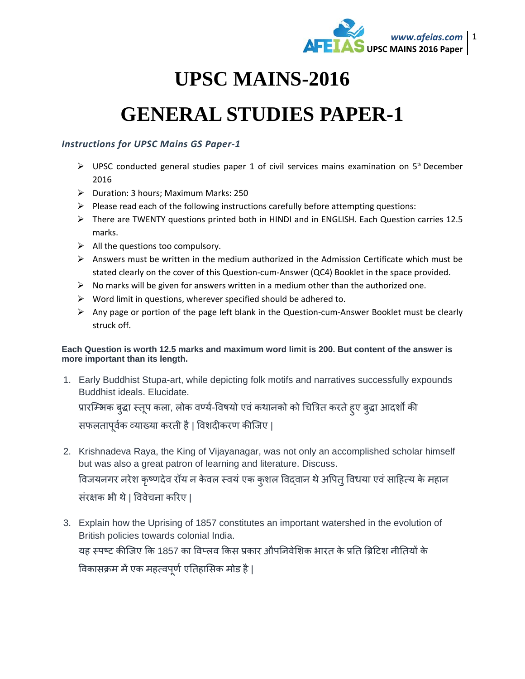

## **UPSC MAINS-2016**

## **GENERAL STUDIES PAPER-1**

## *Instructions for UPSC Mains GS Paper-1*

- $\triangleright$  UPSC conducted general studies paper 1 of civil services mains examination on 5<sup>th</sup> December 2016
- Duration: 3 hours; Maximum Marks: 250
- $\triangleright$  Please read each of the following instructions carefully before attempting questions:
- There are TWENTY questions printed both in HINDI and in ENGLISH. Each Question carries 12.5 marks.
- $\triangleright$  All the questions too compulsory.
- $\triangleright$  Answers must be written in the medium authorized in the Admission Certificate which must be stated clearly on the cover of this Question-cum-Answer (QC4) Booklet in the space provided.
- $\triangleright$  No marks will be given for answers written in a medium other than the authorized one.
- $\triangleright$  Word limit in questions, wherever specified should be adhered to.
- $\triangleright$  Any page or portion of the page left blank in the Question-cum-Answer Booklet must be clearly struck off.

## **Each Question is worth 12.5 marks and maximum word limit is 200. But content of the answer is more important than its length.**

1. Early Buddhist Stupa-art, while depicting folk motifs and narratives successfully expounds Buddhist ideals. Elucidate.

प्रारम्भिक बुद्धा स्तूप कला, लोक वर्ण्य-विषयो एवं कथानको को चित्रित करते हुए बुद्धा आदर्शों की सफलतापूर्वक व्याख्या करती है | विशदीकरण कीजिए |

- 2. Krishnadeva Raya, the King of Vijayanagar, was not only an accomplished scholar himself but was also a great patron of learning and literature. Discuss. विजयनगर नरेश कृष्णदेव रॉय न केवल स्वयं एक कुशल विद्वान थे अपित् विधया एवं साहित्य के महान संरक्षक भी थे | विवेचना करिए |
- 3. Explain how the Uprising of 1857 constitutes an important watershed in the evolution of British policies towards colonial India. यह स्पष्ट कीजिए कि 1857 का विप्लव किस प्रकार औपनिवेशिक भारत के प्रति ब्रिटिश नीतियों के विकासक्रम में एक महत्वपूर्ण एतिहासिक मोड है |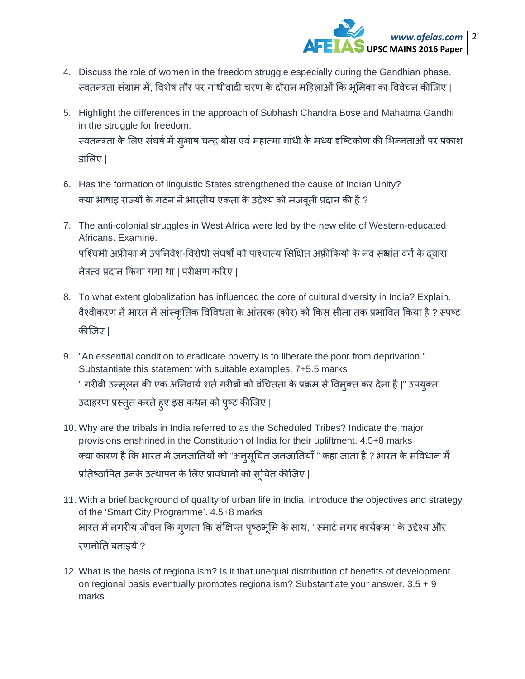

- 4. Discuss the role of women in the freedom struggle especially during the Gandhian phase. स्वतन्त्रता संग्राम में, विशेष तौर पर गांधीवादी चरण के दौरान महिलाओं कि भूमिका का विवेचन कीजिए |
- 5. Highlight the differences in the approach of Subhash Chandra Bose and Mahatma Gandhi in the struggle for freedom. स्वतन्त्रता के लिए संघर्ष में सुभाष चन्द्र बोस एवं महात्मा गांधी के मध्य दृष्टिकोण की भिन्नताओं पर प्रकाश डािलए |
- 6. Has the formation of linguistic States strengthened the cause of Indian Unity? क्या भाषाइ राज्यों के गठन नें भारतीय एकता के उद्देश्य को मजबूती प्रदान की है ?
- 7. The anti-colonial struggles in West Africa were led by the new elite of Western-educated Africans. Examine. पश्चिमी अफ्रीका में उपनिवेश-विरोधी संघर्षों को पाश्चात्य सिक्षित अफ़्रीकियों के नव संभ्रांत वर्ग के दवारा नेत्र×व प्रदान िकया गया था | परीक्षण किरए |
- 8. To what extent globalization has influenced the core of cultural diversity in India? Explain. वैश्वीकरण नें भारत में सांस्कृतिक विविधता के आंतरक (कोर) को किस सीमा तक प्रभावित किया है ? स्पष्ट कीिजए |
- 9. "An essential condition to eradicate poverty is to liberate the poor from deprivation." Substantiate this statement with suitable examples. 7+5.5 marks " गरीबी उन्मूलन की एक अनिवार्य शर्त गरीबों को वंचितता के प्रक्रम से विमुक्त कर देना है |" उपयुक्त उदाहरण प्रस्तुत करते हुए इस कथन को पुष्ट कीजिए |
- 10. Why are the tribals in India referred to as the Scheduled Tribes? Indicate the major provisions enshrined in the Constitution of India for their upliftment. 4.5+8 marks क्या कारण है कि भारत में जनजातियों को "अनुसूचित जनजातियाँ " कहा जाता है ? भारत के संविधान में प्रतिष्ठापित उनके उत्थापन के लिए प्रावधानों को सूचित कीजिए |
- 11. With a brief background of quality of urban life in India, introduce the objectives and strategy of the 'Smart City Programme'. 4.5+8 marks भारत में नगरीय जीवन कि गुणता कि संक्षिप्त पृष्ठभूमि के साथ, ' स्मार्ट नगर कार्यक्रम ' के उद्देश्य और रणनीित बताइये ?
- 12. What is the basis of regionalism? Is it that unequal distribution of benefits of development on regional basis eventually promotes regionalism? Substantiate your answer. 3.5 + 9 marks